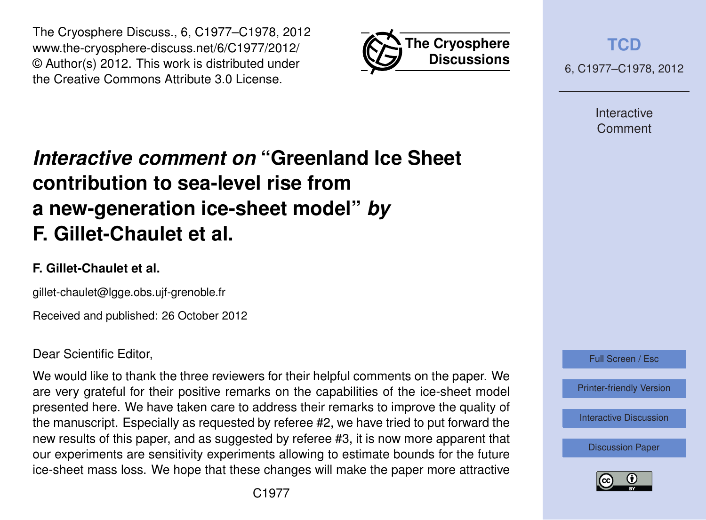



**[TCD](http://www.the-cryosphere-discuss.net)** 6, C1977–C1978, 2012

> Interactive Comment

## *Interactive comment on* **"Greenland Ice Sheet contribution to sea-level rise from a new-generation ice-sheet model"** *by* **F. Gillet-Chaulet et al.**

## **F. Gillet-Chaulet et al.**

gillet-chaulet@lgge.obs.ujf-grenoble.fr

Received and published: 26 October 2012

## Dear Scientific Editor,

We would like to thank the three reviewers for their helpful comments on the paper. We are very grateful for their positive remarks on the capabilities of the ice-sheet model presented here. We have taken care to address their remarks to improve the quality of the manuscript. Especially as requested by referee #2, we have tried to put forward the new results of this paper, and as suggested by referee #3, it is now more apparent that our experiments are sensitivity experiments allowing to estimate bounds for the future ice-sheet mass loss. We hope that these changes will make the paper more attractive



[Interactive Discussion](http://www.the-cryosphere-discuss.net/6/2789/2012/tcd-6-2789-2012-discussion.html)

[Discussion Paper](http://www.the-cryosphere-discuss.net/6/2789/2012/tcd-6-2789-2012.pdf)